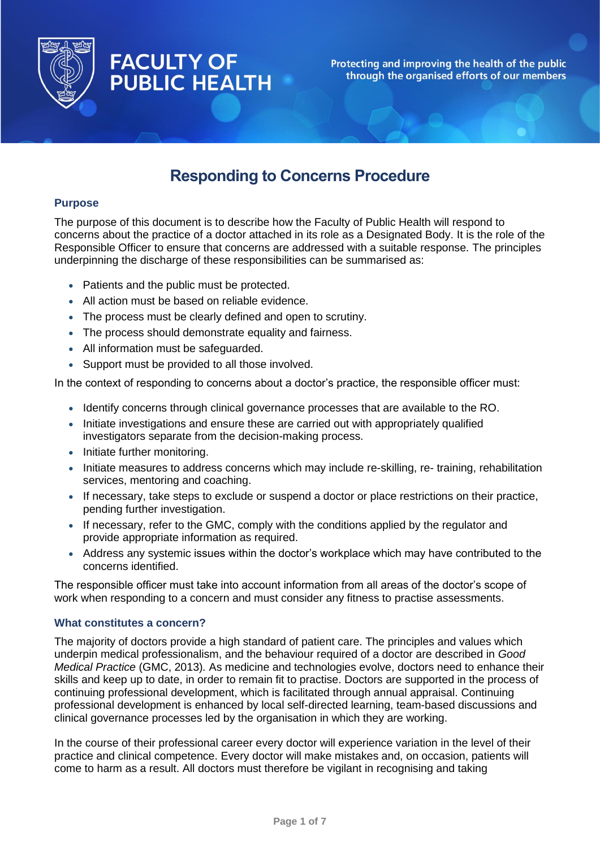

# **FACULTY OF PUBLIC HEALTH**

Protecting and improving the health of the public through the organised efforts of our members

## **Responding to Concerns Procedure**

## **Purpose**

The purpose of this document is to describe how the Faculty of Public Health will respond to concerns about the practice of a doctor attached in its role as a Designated Body. It is the role of the Responsible Officer to ensure that concerns are addressed with a suitable response. The principles underpinning the discharge of these responsibilities can be summarised as:

- Patients and the public must be protected.
- All action must be based on reliable evidence.
- The process must be clearly defined and open to scrutiny.
- The process should demonstrate equality and fairness.
- All information must be safeguarded.
- Support must be provided to all those involved.

In the context of responding to concerns about a doctor's practice, the responsible officer must:

- Identify concerns through clinical governance processes that are available to the RO.
- Initiate investigations and ensure these are carried out with appropriately qualified investigators separate from the decision-making process.
- Initiate further monitoring.
- Initiate measures to address concerns which may include re-skilling, re- training, rehabilitation services, mentoring and coaching.
- If necessary, take steps to exclude or suspend a doctor or place restrictions on their practice, pending further investigation.
- If necessary, refer to the GMC, comply with the conditions applied by the regulator and provide appropriate information as required.
- Address any systemic issues within the doctor's workplace which may have contributed to the concerns identified.

The responsible officer must take into account information from all areas of the doctor's scope of work when responding to a concern and must consider any fitness to practise assessments.

## **What constitutes a concern?**

The majority of doctors provide a high standard of patient care. The principles and values which underpin medical professionalism, and the behaviour required of a doctor are described in *Good Medical Practice* (GMC, 2013)*.* As medicine and technologies evolve, doctors need to enhance their skills and keep up to date, in order to remain fit to practise. Doctors are supported in the process of continuing professional development, which is facilitated through annual appraisal. Continuing professional development is enhanced by local self-directed learning, team-based discussions and clinical governance processes led by the organisation in which they are working.

In the course of their professional career every doctor will experience variation in the level of their practice and clinical competence. Every doctor will make mistakes and, on occasion, patients will come to harm as a result. All doctors must therefore be vigilant in recognising and taking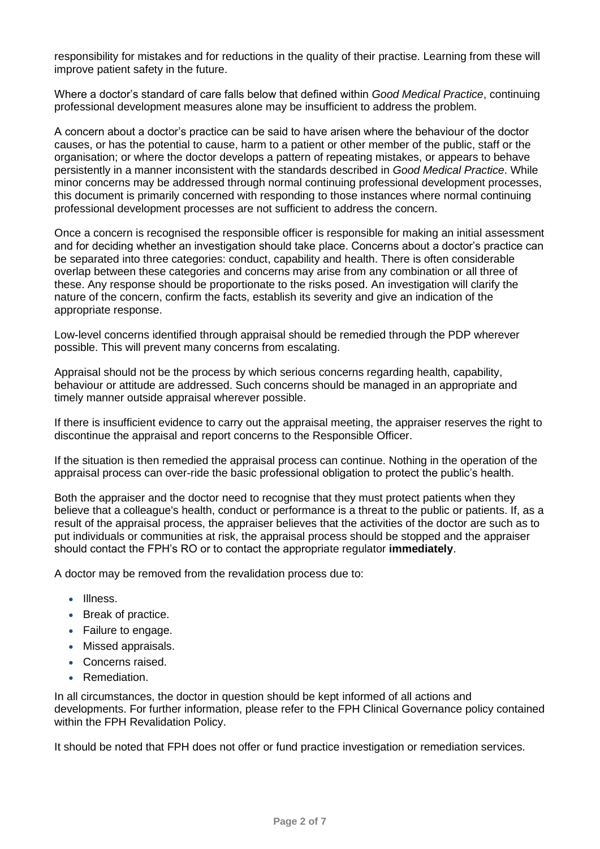responsibility for mistakes and for reductions in the quality of their practise. Learning from these will improve patient safety in the future.

Where a doctor's standard of care falls below that defined within *Good Medical Practice*, continuing professional development measures alone may be insufficient to address the problem.

A concern about a doctor's practice can be said to have arisen where the behaviour of the doctor causes, or has the potential to cause, harm to a patient or other member of the public, staff or the organisation; or where the doctor develops a pattern of repeating mistakes, or appears to behave persistently in a manner inconsistent with the standards described in *Good Medical Practice*. While minor concerns may be addressed through normal continuing professional development processes, this document is primarily concerned with responding to those instances where normal continuing professional development processes are not sufficient to address the concern.

Once a concern is recognised the responsible officer is responsible for making an initial assessment and for deciding whether an investigation should take place. Concerns about a doctor's practice can be separated into three categories: conduct, capability and health. There is often considerable overlap between these categories and concerns may arise from any combination or all three of these. Any response should be proportionate to the risks posed. An investigation will clarify the nature of the concern, confirm the facts, establish its severity and give an indication of the appropriate response.

Low-level concerns identified through appraisal should be remedied through the PDP wherever possible. This will prevent many concerns from escalating.

Appraisal should not be the process by which serious concerns regarding health, capability, behaviour or attitude are addressed. Such concerns should be managed in an appropriate and timely manner outside appraisal wherever possible.

If there is insufficient evidence to carry out the appraisal meeting, the appraiser reserves the right to discontinue the appraisal and report concerns to the Responsible Officer.

If the situation is then remedied the appraisal process can continue. Nothing in the operation of the appraisal process can over-ride the basic professional obligation to protect the public's health.

Both the appraiser and the doctor need to recognise that they must protect patients when they believe that a colleague's health, conduct or performance is a threat to the public or patients. If, as a result of the appraisal process, the appraiser believes that the activities of the doctor are such as to put individuals or communities at risk, the appraisal process should be stopped and the appraiser should contact the FPH's RO or to contact the appropriate regulator **immediately**.

A doctor may be removed from the revalidation process due to:

- Illness.
- Break of practice.
- Failure to engage.
- Missed appraisals.
- Concerns raised.
- Remediation.

In all circumstances, the doctor in question should be kept informed of all actions and developments. For further information, please refer to the FPH Clinical Governance policy contained within the FPH Revalidation Policy.

It should be noted that FPH does not offer or fund practice investigation or remediation services.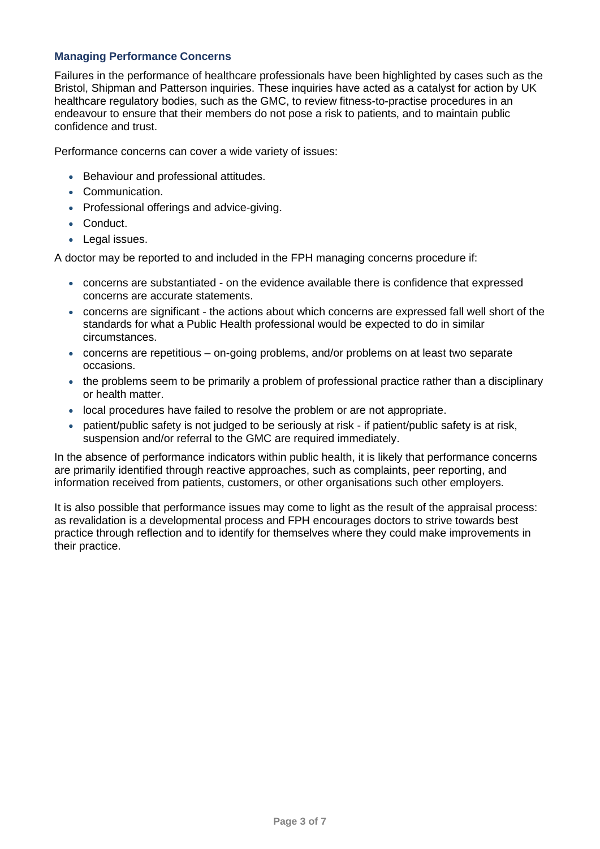## **Managing Performance Concerns**

Failures in the performance of healthcare professionals have been highlighted by cases such as the Bristol, Shipman and Patterson inquiries. These inquiries have acted as a catalyst for action by UK healthcare regulatory bodies, such as the GMC, to review fitness-to-practise procedures in an endeavour to ensure that their members do not pose a risk to patients, and to maintain public confidence and trust.

Performance concerns can cover a wide variety of issues:

- Behaviour and professional attitudes.
- Communication.
- Professional offerings and advice-giving.
- Conduct.
- Legal issues.

A doctor may be reported to and included in the FPH managing concerns procedure if:

- concerns are substantiated on the evidence available there is confidence that expressed concerns are accurate statements.
- concerns are significant the actions about which concerns are expressed fall well short of the standards for what a Public Health professional would be expected to do in similar circumstances.
- concerns are repetitious on-going problems, and/or problems on at least two separate occasions.
- the problems seem to be primarily a problem of professional practice rather than a disciplinary or health matter.
- local procedures have failed to resolve the problem or are not appropriate.
- patient/public safety is not judged to be seriously at risk if patient/public safety is at risk, suspension and/or referral to the GMC are required immediately.

In the absence of performance indicators within public health, it is likely that performance concerns are primarily identified through reactive approaches, such as complaints, peer reporting, and information received from patients, customers, or other organisations such other employers.

It is also possible that performance issues may come to light as the result of the appraisal process: as revalidation is a developmental process and FPH encourages doctors to strive towards best practice through reflection and to identify for themselves where they could make improvements in their practice.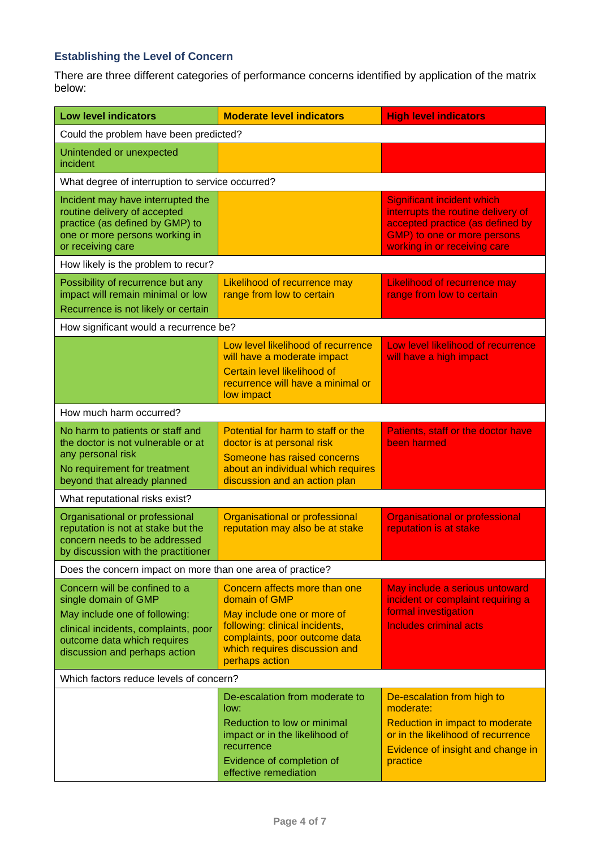## **Establishing the Level of Concern**

There are three different categories of performance concerns identified by application of the matrix below:

| <b>Low level indicators</b>                                                                                                                                                                    | <b>Moderate level indicators</b>                                                                                                                                                                   | <b>High level indicators</b>                                                                                                                                               |
|------------------------------------------------------------------------------------------------------------------------------------------------------------------------------------------------|----------------------------------------------------------------------------------------------------------------------------------------------------------------------------------------------------|----------------------------------------------------------------------------------------------------------------------------------------------------------------------------|
| Could the problem have been predicted?                                                                                                                                                         |                                                                                                                                                                                                    |                                                                                                                                                                            |
| Unintended or unexpected<br>incident                                                                                                                                                           |                                                                                                                                                                                                    |                                                                                                                                                                            |
| What degree of interruption to service occurred?                                                                                                                                               |                                                                                                                                                                                                    |                                                                                                                                                                            |
| Incident may have interrupted the<br>routine delivery of accepted<br>practice (as defined by GMP) to<br>one or more persons working in<br>or receiving care                                    |                                                                                                                                                                                                    | <b>Significant incident which</b><br>interrupts the routine delivery of<br>accepted practice (as defined by<br>GMP) to one or more persons<br>working in or receiving care |
| How likely is the problem to recur?                                                                                                                                                            |                                                                                                                                                                                                    |                                                                                                                                                                            |
| Possibility of recurrence but any<br>impact will remain minimal or low<br>Recurrence is not likely or certain                                                                                  | Likelihood of recurrence may<br>range from low to certain                                                                                                                                          | <b>Likelihood of recurrence may</b><br>range from low to certain                                                                                                           |
| How significant would a recurrence be?                                                                                                                                                         |                                                                                                                                                                                                    |                                                                                                                                                                            |
|                                                                                                                                                                                                | Low level likelihood of recurrence<br>will have a moderate impact<br>Certain level likelihood of<br>recurrence will have a minimal or<br>low impact                                                | Low level likelihood of recurrence<br>will have a high impact                                                                                                              |
| How much harm occurred?                                                                                                                                                                        |                                                                                                                                                                                                    |                                                                                                                                                                            |
| No harm to patients or staff and<br>the doctor is not vulnerable or at<br>any personal risk<br>No requirement for treatment<br>beyond that already planned                                     | Potential for harm to staff or the<br>doctor is at personal risk<br>Someone has raised concerns<br>about an individual which requires<br>discussion and an action plan                             | Patients, staff or the doctor have<br>been harmed                                                                                                                          |
| What reputational risks exist?                                                                                                                                                                 |                                                                                                                                                                                                    |                                                                                                                                                                            |
| Organisational or professional<br>reputation is not at stake but the<br>concern needs to be addressed<br>by discussion with the practitioner                                                   | Organisational or professional<br>reputation may also be at stake                                                                                                                                  | <b>Organisational or professional</b><br>reputation is at stake                                                                                                            |
| Does the concern impact on more than one area of practice?                                                                                                                                     |                                                                                                                                                                                                    |                                                                                                                                                                            |
| Concern will be confined to a<br>single domain of GMP<br>May include one of following:<br>clinical incidents, complaints, poor<br>outcome data which requires<br>discussion and perhaps action | Concern affects more than one<br>domain of GMP<br>May include one or more of<br>following: clinical incidents,<br>complaints, poor outcome data<br>which requires discussion and<br>perhaps action | May include a serious untoward<br>incident or complaint requiring a<br>formal investigation<br><b>Includes criminal acts</b>                                               |
| Which factors reduce levels of concern?                                                                                                                                                        |                                                                                                                                                                                                    |                                                                                                                                                                            |
|                                                                                                                                                                                                | De-escalation from moderate to<br>low:<br>Reduction to low or minimal<br>impact or in the likelihood of<br>recurrence<br>Evidence of completion of<br>effective remediation                        | De-escalation from high to<br>moderate:<br>Reduction in impact to moderate<br>or in the likelihood of recurrence<br>Evidence of insight and change in<br>practice          |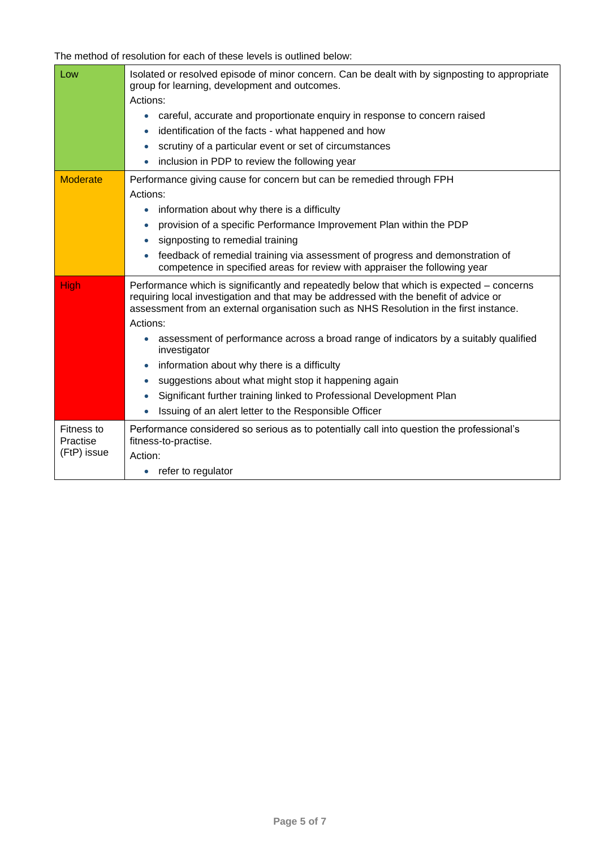The method of resolution for each of these levels is outlined below:

| Low                    | Isolated or resolved episode of minor concern. Can be dealt with by signposting to appropriate<br>group for learning, development and outcomes.                                                                                                                              |  |
|------------------------|------------------------------------------------------------------------------------------------------------------------------------------------------------------------------------------------------------------------------------------------------------------------------|--|
|                        | Actions:                                                                                                                                                                                                                                                                     |  |
|                        | careful, accurate and proportionate enquiry in response to concern raised<br>$\bullet$                                                                                                                                                                                       |  |
|                        | identification of the facts - what happened and how<br>$\bullet$                                                                                                                                                                                                             |  |
|                        | scrutiny of a particular event or set of circumstances<br>$\bullet$                                                                                                                                                                                                          |  |
|                        | inclusion in PDP to review the following year                                                                                                                                                                                                                                |  |
| <b>Moderate</b>        | Performance giving cause for concern but can be remedied through FPH                                                                                                                                                                                                         |  |
|                        | Actions:                                                                                                                                                                                                                                                                     |  |
|                        | information about why there is a difficulty<br>$\bullet$                                                                                                                                                                                                                     |  |
|                        | provision of a specific Performance Improvement Plan within the PDP<br>$\bullet$                                                                                                                                                                                             |  |
|                        | signposting to remedial training<br>$\bullet$                                                                                                                                                                                                                                |  |
|                        | feedback of remedial training via assessment of progress and demonstration of<br>competence in specified areas for review with appraiser the following year                                                                                                                  |  |
| <b>High</b>            | Performance which is significantly and repeatedly below that which is expected – concerns<br>requiring local investigation and that may be addressed with the benefit of advice or<br>assessment from an external organisation such as NHS Resolution in the first instance. |  |
|                        | Actions:                                                                                                                                                                                                                                                                     |  |
|                        | assessment of performance across a broad range of indicators by a suitably qualified<br>$\bullet$<br>investigator                                                                                                                                                            |  |
|                        | information about why there is a difficulty<br>$\bullet$                                                                                                                                                                                                                     |  |
|                        | suggestions about what might stop it happening again<br>$\bullet$                                                                                                                                                                                                            |  |
|                        | Significant further training linked to Professional Development Plan<br>$\bullet$                                                                                                                                                                                            |  |
|                        | Issuing of an alert letter to the Responsible Officer<br>$\bullet$                                                                                                                                                                                                           |  |
| Fitness to<br>Practise | Performance considered so serious as to potentially call into question the professional's<br>fitness-to-practise.                                                                                                                                                            |  |
| (FtP) issue            | Action:                                                                                                                                                                                                                                                                      |  |
|                        | refer to regulator<br>$\bullet$                                                                                                                                                                                                                                              |  |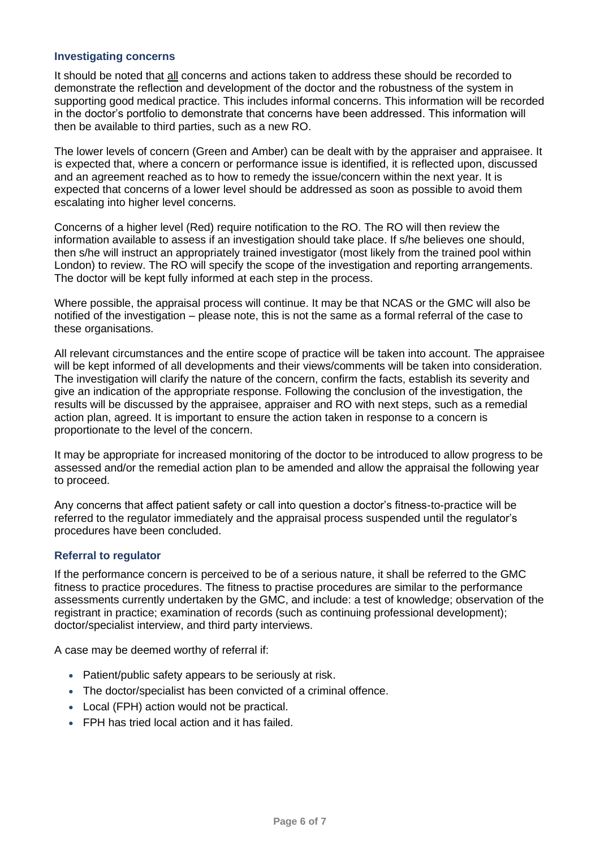## **Investigating concerns**

It should be noted that all concerns and actions taken to address these should be recorded to demonstrate the reflection and development of the doctor and the robustness of the system in supporting good medical practice. This includes informal concerns. This information will be recorded in the doctor's portfolio to demonstrate that concerns have been addressed. This information will then be available to third parties, such as a new RO.

The lower levels of concern (Green and Amber) can be dealt with by the appraiser and appraisee. It is expected that, where a concern or performance issue is identified, it is reflected upon, discussed and an agreement reached as to how to remedy the issue/concern within the next year. It is expected that concerns of a lower level should be addressed as soon as possible to avoid them escalating into higher level concerns.

Concerns of a higher level (Red) require notification to the RO. The RO will then review the information available to assess if an investigation should take place. If s/he believes one should, then s/he will instruct an appropriately trained investigator (most likely from the trained pool within London) to review. The RO will specify the scope of the investigation and reporting arrangements. The doctor will be kept fully informed at each step in the process.

Where possible, the appraisal process will continue. It may be that NCAS or the GMC will also be notified of the investigation – please note, this is not the same as a formal referral of the case to these organisations.

All relevant circumstances and the entire scope of practice will be taken into account. The appraisee will be kept informed of all developments and their views/comments will be taken into consideration. The investigation will clarify the nature of the concern, confirm the facts, establish its severity and give an indication of the appropriate response. Following the conclusion of the investigation, the results will be discussed by the appraisee, appraiser and RO with next steps, such as a remedial action plan, agreed. It is important to ensure the action taken in response to a concern is proportionate to the level of the concern.

It may be appropriate for increased monitoring of the doctor to be introduced to allow progress to be assessed and/or the remedial action plan to be amended and allow the appraisal the following year to proceed.

Any concerns that affect patient safety or call into question a doctor's fitness-to-practice will be referred to the regulator immediately and the appraisal process suspended until the regulator's procedures have been concluded.

#### **Referral to regulator**

If the performance concern is perceived to be of a serious nature, it shall be referred to the GMC fitness to practice procedures. The fitness to practise procedures are similar to the performance assessments currently undertaken by the GMC, and include: a test of knowledge; observation of the registrant in practice; examination of records (such as continuing professional development); doctor/specialist interview, and third party interviews.

A case may be deemed worthy of referral if:

- Patient/public safety appears to be seriously at risk.
- The doctor/specialist has been convicted of a criminal offence.
- Local (FPH) action would not be practical.
- FPH has tried local action and it has failed.